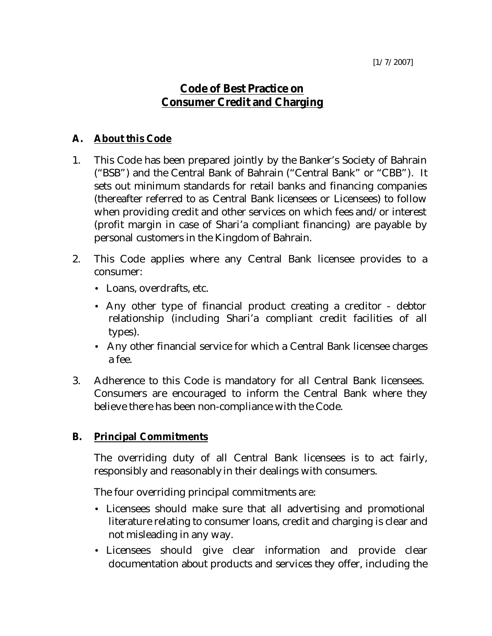# **Code of Best Practice on Consumer Credit and Charging**

## **A. About this Code**

- 1. This Code has been prepared jointly by the Banker's Society of Bahrain ("BSB") and the Central Bank of Bahrain ("Central Bank" or "CBB"). It sets out minimum standards for retail banks and financing companies (thereafter referred to as Central Bank licensees or Licensees) to follow when providing credit and other services on which fees and/or interest (profit margin in case of Shari'a compliant financing) are payable by personal customers in the Kingdom of Bahrain.
- 2. This Code applies where any Central Bank licensee provides to a consumer:
	- Loans, overdrafts, etc.
	- Any other type of financial product creating a creditor debtor relationship (including Shari'a compliant credit facilities of all types).
	- Any other financial service for which a Central Bank licensee charges a fee.
- 3. Adherence to this Code is mandatory for all Central Bank licensees. Consumers are encouraged to inform the Central Bank where they believe there has been non-compliance with the Code.

### **B. Principal Commitments**

The overriding duty of all Central Bank licensees is to act fairly, responsibly and reasonably in their dealings with consumers.

The four overriding principal commitments are:

- Licensees should make sure that all advertising and promotional literature relating to consumer loans, credit and charging is clear and not misleading in any way.
- Licensees should give clear information and provide clear documentation about products and services they offer, including the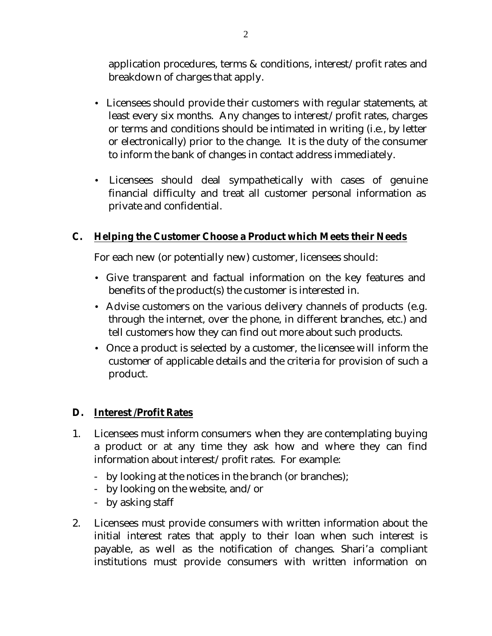application procedures, terms & conditions, interest/profit rates and breakdown of charges that apply.

- Licensees should provide their customers with regular statements, at least every six months. Any changes to interest/profit rates, charges or terms and conditions should be intimated in writing (i.e., by letter or electronically) prior to the change. It is the duty of the consumer to inform the bank of changes in contact address immediately.
- Licensees should deal sympathetically with cases of genuine financial difficulty and treat all customer personal information as private and confidential.

## **C. Helping the Customer Choose a Product which Meets their Needs**

For each new (or potentially new) customer, licensees should:

- Give transparent and factual information on the key features and benefits of the product(s) the customer is interested in.
- Advise customers on the various delivery channels of products (e.g. through the internet, over the phone, in different branches, etc.) and tell customers how they can find out more about such products.
- Once a product is selected by a customer, the licensee will inform the customer of applicable details and the criteria for provision of such a product.

### **D. Interest /Profit Rates**

- 1. Licensees must inform consumers when they are contemplating buying a product or at any time they ask how and where they can find information about interest/profit rates. For example:
	- by looking at the notices in the branch (or branches);
	- by looking on the website, and/or
	- by asking staff
- 2. Licensees must provide consumers with written information about the initial interest rates that apply to their loan when such interest is payable, as well as the notification of changes. Shari'a compliant institutions must provide consumers with written information on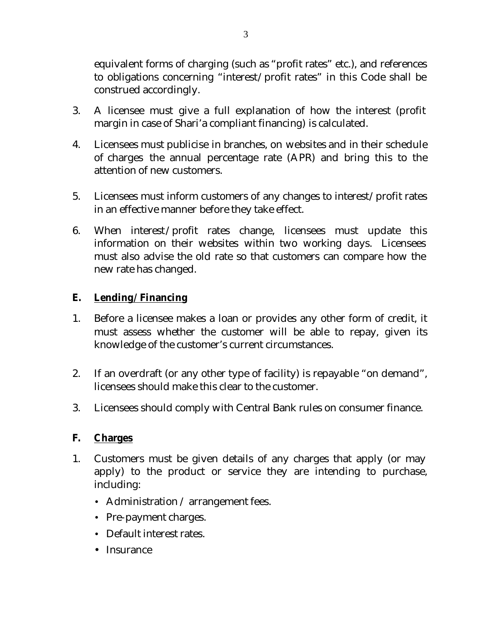equivalent forms of charging (such as "profit rates" etc.), and references to obligations concerning "interest/profit rates" in this Code shall be construed accordingly.

- 3. A licensee must give a full explanation of how the interest (profit margin in case of Shari'a compliant financing) is calculated.
- 4. Licensees must publicise in branches, on websites and in their schedule of charges the annual percentage rate (APR) and bring this to the attention of new customers.
- 5. Licensees must inform customers of any changes to interest/profit rates in an effective manner before they take effect.
- 6. When interest/profit rates change, licensees must update this information on their websites within two working days. Licensees must also advise the old rate so that customers can compare how the new rate has changed.

#### **E. Lending/ Financing**

- 1. Before a licensee makes a loan or provides any other form of credit, it must assess whether the customer will be able to repay, given its knowledge of the customer's current circumstances.
- 2. If an overdraft (or any other type of facility) is repayable "on demand", licensees should make this clear to the customer.
- 3. Licensees should comply with Central Bank rules on consumer finance.

#### **F. Charges**

- 1. Customers must be given details of any charges that apply (or may apply) to the product or service they are intending to purchase, including:
	- Administration / arrangement fees.
	- Pre-payment charges.
	- Default interest rates.
	- Insurance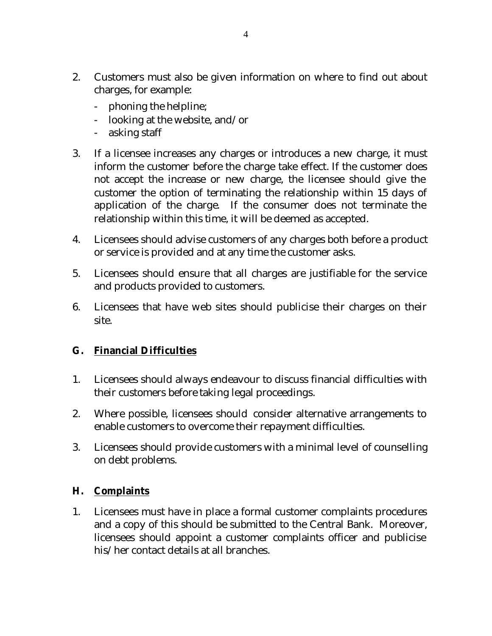- 2. Customers must also be given information on where to find out about charges, for example:
	- phoning the helpline;
	- looking at the website, and/or
	- asking staff
- 3. If a licensee increases any charges or introduces a new charge, it must inform the customer before the charge take effect. If the customer does not accept the increase or new charge, the licensee should give the customer the option of terminating the relationship within 15 days of application of the charge. If the consumer does not terminate the relationship within this time, it will be deemed as accepted.
- 4. Licensees should advise customers of any charges both before a product or service is provided and at any time the customer asks.
- 5. Licensees should ensure that all charges are justifiable for the service and products provided to customers.
- 6. Licensees that have web sites should publicise their charges on their site.

### **G. Financial Difficulties**

- 1. Licensees should always endeavour to discuss financial difficulties with their customers before taking legal proceedings.
- 2. Where possible, licensees should consider alternative arrangements to enable customers to overcome their repayment difficulties.
- 3. Licensees should provide customers with a minimal level of counselling on debt problems.

#### **H. Complaints**

1. Licensees must have in place a formal customer complaints procedures and a copy of this should be submitted to the Central Bank. Moreover, licensees should appoint a customer complaints officer and publicise his/her contact details at all branches.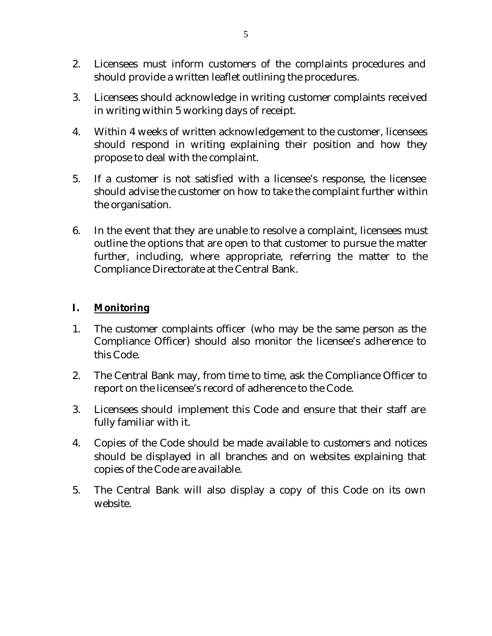- 2. Licensees must inform customers of the complaints procedures and should provide a written leaflet outlining the procedures.
- 3. Licensees should acknowledge in writing customer complaints received in writing within 5 working days of receipt.
- 4. Within 4 weeks of written acknowledgement to the customer, licensees should respond in writing explaining their position and how they propose to deal with the complaint.
- 5. If a customer is not satisfied with a licensee's response, the licensee should advise the customer on how to take the complaint further within the organisation.
- 6. In the event that they are unable to resolve a complaint, licensees must outline the options that are open to that customer to pursue the matter further, including, where appropriate, referring the matter to the Compliance Directorate at the Central Bank.

## **I. Monitoring**

- 1. The customer complaints officer (who may be the same person as the Compliance Officer) should also monitor the licensee's adherence to this Code.
- 2. The Central Bank may, from time to time, ask the Compliance Officer to report on the licensee's record of adherence to the Code.
- 3. Licensees should implement this Code and ensure that their staff are fully familiar with it.
- 4. Copies of the Code should be made available to customers and notices should be displayed in all branches and on websites explaining that copies of the Code are available.
- 5. The Central Bank will also display a copy of this Code on its own website.